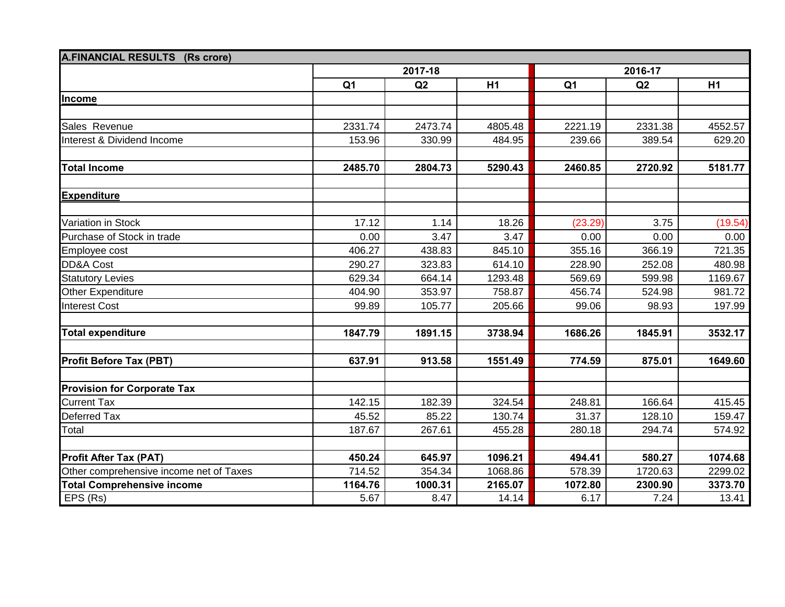| A.FINANCIAL RESULTS (Rs crore)          |                |         |                |                |         |         |
|-----------------------------------------|----------------|---------|----------------|----------------|---------|---------|
|                                         |                | 2017-18 |                | 2016-17        |         |         |
|                                         | Q <sub>1</sub> | Q2      | H <sub>1</sub> | Q <sub>1</sub> | Q2      | H1      |
| <u>Income</u>                           |                |         |                |                |         |         |
|                                         |                |         |                |                |         |         |
| Sales Revenue                           | 2331.74        | 2473.74 | 4805.48        | 2221.19        | 2331.38 | 4552.57 |
| Interest & Dividend Income              | 153.96         | 330.99  | 484.95         | 239.66         | 389.54  | 629.20  |
|                                         |                |         |                |                |         |         |
| <b>Total Income</b>                     | 2485.70        | 2804.73 | 5290.43        | 2460.85        | 2720.92 | 5181.77 |
|                                         |                |         |                |                |         |         |
| <b>Expenditure</b>                      |                |         |                |                |         |         |
| <b>Variation in Stock</b>               | 17.12          | 1.14    | 18.26          | (23.29)        | 3.75    | (19.54) |
| Purchase of Stock in trade              | 0.00           | 3.47    | 3.47           | 0.00           | 0.00    | 0.00    |
| Employee cost                           | 406.27         | 438.83  | 845.10         | 355.16         | 366.19  | 721.35  |
| <b>DD&amp;A Cost</b>                    | 290.27         | 323.83  | 614.10         | 228.90         | 252.08  | 480.98  |
| <b>Statutory Levies</b>                 | 629.34         | 664.14  | 1293.48        | 569.69         | 599.98  | 1169.67 |
| Other Expenditure                       | 404.90         | 353.97  | 758.87         | 456.74         | 524.98  | 981.72  |
| <b>Interest Cost</b>                    | 99.89          | 105.77  | 205.66         | 99.06          | 98.93   | 197.99  |
|                                         |                |         |                |                |         |         |
| <b>Total expenditure</b>                | 1847.79        | 1891.15 | 3738.94        | 1686.26        | 1845.91 | 3532.17 |
| <b>Profit Before Tax (PBT)</b>          | 637.91         | 913.58  | 1551.49        | 774.59         | 875.01  | 1649.60 |
| <b>Provision for Corporate Tax</b>      |                |         |                |                |         |         |
| <b>Current Tax</b>                      | 142.15         | 182.39  | 324.54         | 248.81         | 166.64  | 415.45  |
| Deferred Tax                            | 45.52          | 85.22   | 130.74         | 31.37          | 128.10  | 159.47  |
| Total                                   | 187.67         | 267.61  | 455.28         | 280.18         | 294.74  | 574.92  |
|                                         |                |         |                |                |         |         |
| <b>Profit After Tax (PAT)</b>           | 450.24         | 645.97  | 1096.21        | 494.41         | 580.27  | 1074.68 |
| Other comprehensive income net of Taxes | 714.52         | 354.34  | 1068.86        | 578.39         | 1720.63 | 2299.02 |
| <b>Total Comprehensive income</b>       | 1164.76        | 1000.31 | 2165.07        | 1072.80        | 2300.90 | 3373.70 |
| $\overline{EPS}$ (Rs)                   | 5.67           | 8.47    | 14.14          | 6.17           | 7.24    | 13.41   |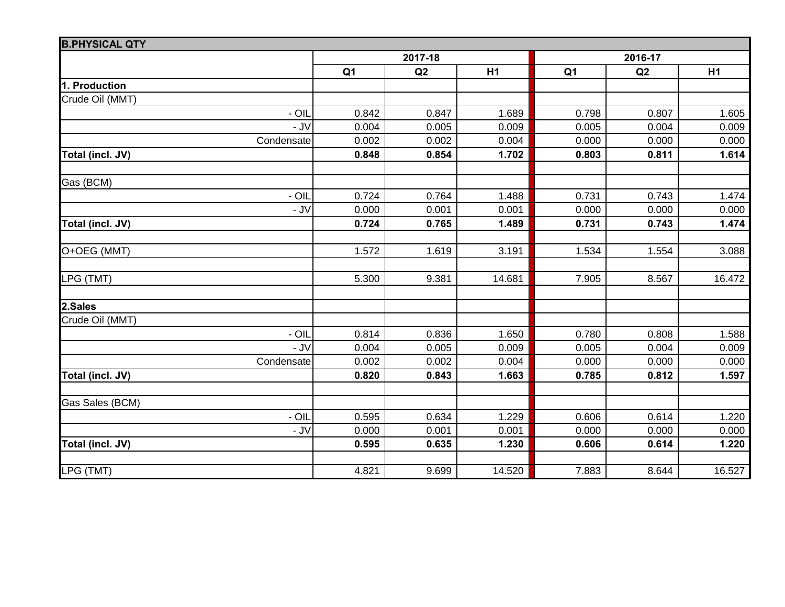| <b>B.PHYSICAL QTY</b> |                |       |        |                |       |        |
|-----------------------|----------------|-------|--------|----------------|-------|--------|
|                       | 2017-18        |       |        | 2016-17        |       |        |
|                       | Q <sub>1</sub> | Q2    | H1     | Q <sub>1</sub> | Q2    | H1     |
| 1. Production         |                |       |        |                |       |        |
| Crude Oil (MMT)       |                |       |        |                |       |        |
| - OIL                 | 0.842          | 0.847 | 1.689  | 0.798          | 0.807 | 1.605  |
| - JV                  | 0.004          | 0.005 | 0.009  | 0.005          | 0.004 | 0.009  |
| Condensate            | 0.002          | 0.002 | 0.004  | 0.000          | 0.000 | 0.000  |
| Total (incl. JV)      | 0.848          | 0.854 | 1.702  | 0.803          | 0.811 | 1.614  |
| Gas (BCM)             |                |       |        |                |       |        |
| - OIL                 | 0.724          | 0.764 | 1.488  | 0.731          | 0.743 | 1.474  |
| $-JV$                 | 0.000          | 0.001 | 0.001  | 0.000          | 0.000 | 0.000  |
| Total (incl. JV)      | 0.724          | 0.765 | 1.489  | 0.731          | 0.743 | 1.474  |
|                       |                |       |        |                |       |        |
| O+OEG (MMT)           | 1.572          | 1.619 | 3.191  | 1.534          | 1.554 | 3.088  |
|                       |                |       |        |                |       |        |
| LPG (TMT)             | 5.300          | 9.381 | 14.681 | 7.905          | 8.567 | 16.472 |
| 2.Sales               |                |       |        |                |       |        |
| Crude Oil (MMT)       |                |       |        |                |       |        |
| - OIL                 | 0.814          | 0.836 | 1.650  | 0.780          | 0.808 | 1.588  |
| - JV                  | 0.004          | 0.005 | 0.009  | 0.005          | 0.004 | 0.009  |
| Condensate            | 0.002          | 0.002 | 0.004  | 0.000          | 0.000 | 0.000  |
| Total (incl. JV)      | 0.820          | 0.843 | 1.663  | 0.785          | 0.812 | 1.597  |
|                       |                |       |        |                |       |        |
| Gas Sales (BCM)       |                |       |        |                |       |        |
| - OIL                 | 0.595          | 0.634 | 1.229  | 0.606          | 0.614 | 1.220  |
| - JV                  | 0.000          | 0.001 | 0.001  | 0.000          | 0.000 | 0.000  |
| Total (incl. JV)      | 0.595          | 0.635 | 1.230  | 0.606          | 0.614 | 1.220  |
|                       |                |       |        |                |       |        |
| LPG (TMT)             | 4.821          | 9.699 | 14.520 | 7.883          | 8.644 | 16.527 |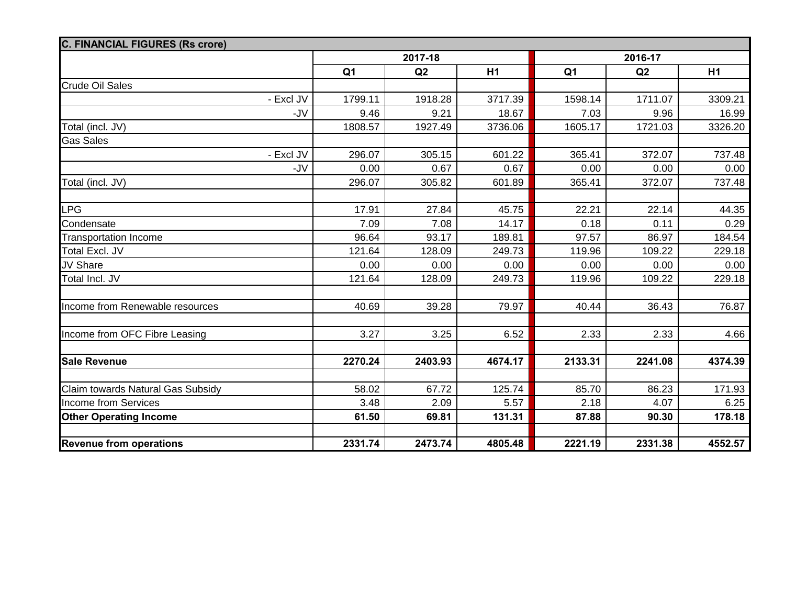| <b>C. FINANCIAL FIGURES (Rs crore)</b> |                |         |           |                |         |         |
|----------------------------------------|----------------|---------|-----------|----------------|---------|---------|
|                                        | 2017-18        |         | 2016-17   |                |         |         |
|                                        | Q <sub>1</sub> | Q2      | <b>H1</b> | Q <sub>1</sub> | Q2      | H1      |
| <b>Crude Oil Sales</b>                 |                |         |           |                |         |         |
| - Excl JV                              | 1799.11        | 1918.28 | 3717.39   | 1598.14        | 1711.07 | 3309.21 |
| -JV                                    | 9.46           | 9.21    | 18.67     | 7.03           | 9.96    | 16.99   |
| Total (incl. JV)                       | 1808.57        | 1927.49 | 3736.06   | 1605.17        | 1721.03 | 3326.20 |
| <b>Gas Sales</b>                       |                |         |           |                |         |         |
| - Excl JV                              | 296.07         | 305.15  | 601.22    | 365.41         | 372.07  | 737.48  |
| -JV                                    | 0.00           | 0.67    | 0.67      | 0.00           | 0.00    | 0.00    |
| Total (incl. JV)                       | 296.07         | 305.82  | 601.89    | 365.41         | 372.07  | 737.48  |
|                                        |                |         |           |                |         |         |
| LPG                                    | 17.91          | 27.84   | 45.75     | 22.21          | 22.14   | 44.35   |
| Condensate                             | 7.09           | 7.08    | 14.17     | 0.18           | 0.11    | 0.29    |
| <b>Transportation Income</b>           | 96.64          | 93.17   | 189.81    | 97.57          | 86.97   | 184.54  |
| Total Excl. JV                         | 121.64         | 128.09  | 249.73    | 119.96         | 109.22  | 229.18  |
| JV Share                               | 0.00           | 0.00    | 0.00      | 0.00           | 0.00    | 0.00    |
| Total Incl. JV                         | 121.64         | 128.09  | 249.73    | 119.96         | 109.22  | 229.18  |
|                                        |                |         |           |                |         |         |
| Income from Renewable resources        | 40.69          | 39.28   | 79.97     | 40.44          | 36.43   | 76.87   |
|                                        |                |         |           |                |         |         |
| Income from OFC Fibre Leasing          | 3.27           | 3.25    | 6.52      | 2.33           | 2.33    | 4.66    |
|                                        |                |         |           |                |         |         |
| <b>Sale Revenue</b>                    | 2270.24        | 2403.93 | 4674.17   | 2133.31        | 2241.08 | 4374.39 |
|                                        |                |         |           |                |         |         |
| Claim towards Natural Gas Subsidy      | 58.02          | 67.72   | 125.74    | 85.70          | 86.23   | 171.93  |
| Income from Services                   | 3.48           | 2.09    | 5.57      | 2.18           | 4.07    | 6.25    |
| <b>Other Operating Income</b>          | 61.50          | 69.81   | 131.31    | 87.88          | 90.30   | 178.18  |
|                                        |                |         |           |                |         |         |
| <b>Revenue from operations</b>         | 2331.74        | 2473.74 | 4805.48   | 2221.19        | 2331.38 | 4552.57 |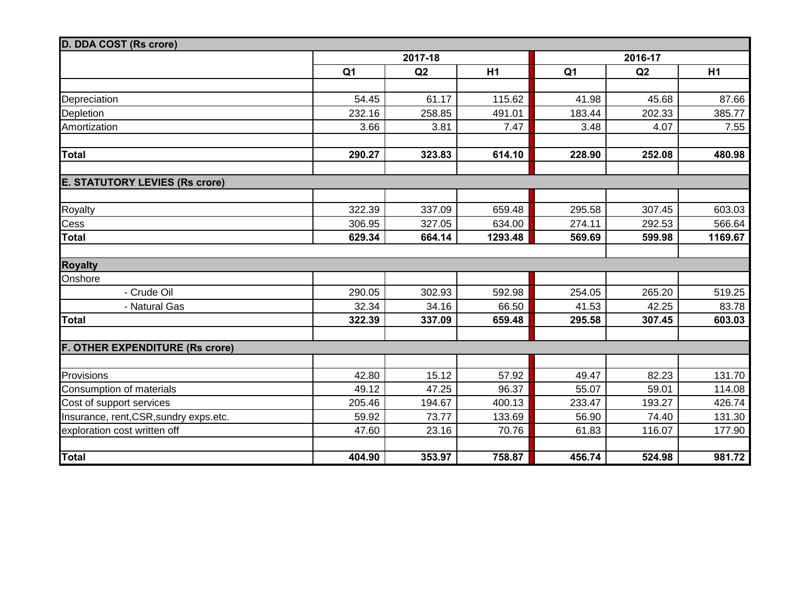| <b>D. DDA COST (Rs crore)</b>          |                |         |         |                |        |                |
|----------------------------------------|----------------|---------|---------|----------------|--------|----------------|
|                                        |                | 2017-18 |         | 2016-17        |        |                |
|                                        | Q <sub>1</sub> | Q2      | H1      | Q <sub>1</sub> | Q2     | H <sub>1</sub> |
|                                        |                |         |         |                |        |                |
| Depreciation                           | 54.45          | 61.17   | 115.62  | 41.98          | 45.68  | 87.66          |
| Depletion                              | 232.16         | 258.85  | 491.01  | 183.44         | 202.33 | 385.77         |
| Amortization                           | 3.66           | 3.81    | 7.47    | 3.48           | 4.07   | 7.55           |
| <b>Total</b>                           | 290.27         | 323.83  | 614.10  | 228.90         | 252.08 | 480.98         |
|                                        |                |         |         |                |        |                |
| <b>E. STATUTORY LEVIES (Rs crore)</b>  |                |         |         |                |        |                |
|                                        |                |         |         |                |        |                |
| Royalty                                | 322.39         | 337.09  | 659.48  | 295.58         | 307.45 | 603.03         |
| Cess                                   | 306.95         | 327.05  | 634.00  | 274.11         | 292.53 | 566.64         |
| <b>Total</b>                           | 629.34         | 664.14  | 1293.48 | 569.69         | 599.98 | 1169.67        |
| <b>Royalty</b>                         |                |         |         |                |        |                |
| Onshore                                |                |         |         |                |        |                |
| - Crude Oil                            | 290.05         | 302.93  | 592.98  | 254.05         | 265.20 | 519.25         |
| - Natural Gas                          | 32.34          | 34.16   | 66.50   | 41.53          | 42.25  | 83.78          |
| <b>Total</b>                           | 322.39         | 337.09  | 659.48  | 295.58         | 307.45 | 603.03         |
| <b>F. OTHER EXPENDITURE (Rs crore)</b> |                |         |         |                |        |                |
|                                        |                |         |         |                |        |                |
| Provisions                             | 42.80          | 15.12   | 57.92   | 49.47          | 82.23  | 131.70         |
| Consumption of materials               | 49.12          | 47.25   | 96.37   | 55.07          | 59.01  | 114.08         |
| Cost of support services               | 205.46         | 194.67  | 400.13  | 233.47         | 193.27 | 426.74         |
| Insurance, rent, CSR, sundry exps.etc. | 59.92          | 73.77   | 133.69  | 56.90          | 74.40  | 131.30         |
| exploration cost written off           | 47.60          | 23.16   | 70.76   | 61.83          | 116.07 | 177.90         |
| Total                                  | 404.90         | 353.97  | 758.87  | 456.74         | 524.98 | 981.72         |